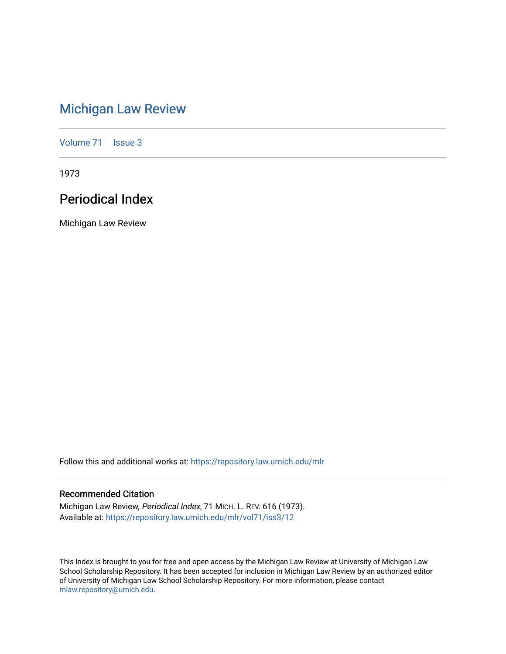# [Michigan Law Review](https://repository.law.umich.edu/mlr)

[Volume 71](https://repository.law.umich.edu/mlr/vol71) | [Issue 3](https://repository.law.umich.edu/mlr/vol71/iss3)

1973

# Periodical Index

Michigan Law Review

Follow this and additional works at: [https://repository.law.umich.edu/mlr](https://repository.law.umich.edu/mlr?utm_source=repository.law.umich.edu%2Fmlr%2Fvol71%2Fiss3%2F12&utm_medium=PDF&utm_campaign=PDFCoverPages) 

# Recommended Citation

Michigan Law Review, Periodical Index, 71 MICH. L. REV. 616 (1973). Available at: [https://repository.law.umich.edu/mlr/vol71/iss3/12](https://repository.law.umich.edu/mlr/vol71/iss3/12?utm_source=repository.law.umich.edu%2Fmlr%2Fvol71%2Fiss3%2F12&utm_medium=PDF&utm_campaign=PDFCoverPages) 

This Index is brought to you for free and open access by the Michigan Law Review at University of Michigan Law School Scholarship Repository. It has been accepted for inclusion in Michigan Law Review by an authorized editor of University of Michigan Law School Scholarship Repository. For more information, please contact [mlaw.repository@umich.edu.](mailto:mlaw.repository@umich.edu)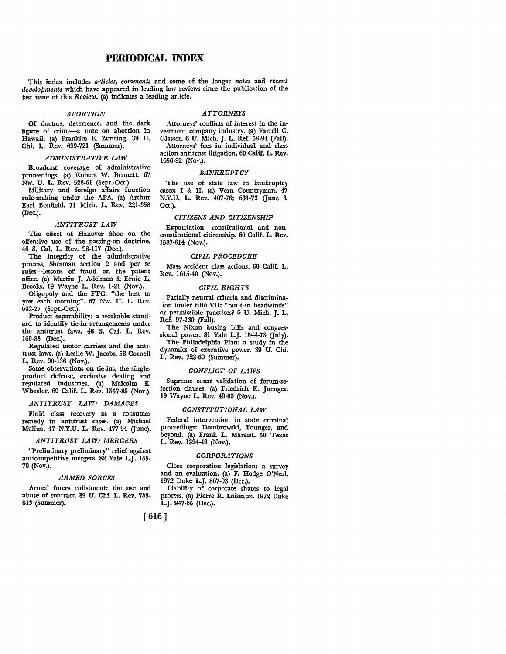# **PERIODICAL INDEX**

This index includes *articles, comments* and some of the longer *notes* and *recent developments* which have appeared in leading law reviews since the publication of the last issue of this *Review.* (a) indicates a leading article.

# *ABORTION*

**Of** doctors, deterrence, and the dark figure of crime-a note on abortion in Hawaii. (a) Franklin E. Zimring. 39 U. Chi. L. Rev. 699-721 (Summer).

# *ADMINISTRATIVE LAW*

Broadcast coverage of administrative proceedings. {a) Robert W. Bennett. 67 Nw. U. L. Rev. 528-61 (Sept.•Oct.).

Military and foreign affairs function rule-making under the APA. (a) Arthur Earl Bonfield. 71 Mich. L. Rev. 221-358 (Dec.).

#### *ANTITRUST LAW*

The effect of Hanover Shoe on the offensive use of the passing-on doctrine. 46 S. Cal. L. Rev. 98-117 (Dec.).

The integrity of the administrative process, Sherman section 2 and per se rules-lessons of fraud on the patent office. (a) Martin J. Adelman &: Ernie L. Brooks. 19 Wayne L. Rev. 1-21 (Nov.).

Oligopoly and the FTC: "the best to you each morning". 67 Nw. U. L. Rev. 602-27 (Sept.-Oct.).

Product separability: a workable standard to identify tie-in arrangements under the antitrust laws. 46 S. Cal. L. Rev. 160-83 (Dec.).

Regulated motor carriers and the antitrust laws. (a} Leslie W. Jacobs. 58 Cornell L. Rev. 90-136 (Nov.).

Some observations on tie-ins, the singleproduct defense, exclusive dealing and regulated industries. (a) Malcolm E. Wheeler. 60 Calif. L. Rev. 1557-85 (Nov.).

# *ANTITRUST LAW: DAMAGES*

Fluid class recovery as a consumer remedy in antitrust cases. (a) Michael Malina. 47 N.Y.U. L. Rev. 477-94 (June).

# *ANTITRUST LAW: MERGERS*

"Preliminary preliminary" relief against anticompetitive mergers. 82 Yale L.J. 155- 70 (Nov.).

# *ARMED FORCES*

Armed forces enlistment: the use and abuse of contract. 39 U. Chi. L. Rev. 783- 813 (Summer).

# *ATTORNEYS*

Attorneys' conflicts of interest in the in• vestment company industry. (a) Farrell C. Glasser. 6 U. Mich. J. L. Ref. 58-94 (Fall). Attorneys' fees in individual and class action antitrust litigation. 60 Calif. L. Rev. 1656-82 (Nov.).

# *BANKRUPTCY*

The use of state law in bankruptcy cases: I & II. (a) Vern Countryman. 47 N.Y.U. L. Rev. 407-76; 631-73 (June & Oct.).

# *CITIZENS AND CITIZENSHIP*

Expatriation: constitutional and nonconstitutional citizenship. 60 Calif. L. Rev. 1587-614 (Nov.).

# *CIVIL PROCEDURE*

Mass accident class actions. 60 Calif. L. Rev. 1615-40 (Nov.).

#### *CIVIL RIGHTS*

Facially neutral criteria and discrimination under title VII: "built-in headwinds" or permissible practices? 6 U. Mich. J. L. Ref. 97-130 (Fall).

The Nixon busing bills and congressional power. 81 Yale L.J. 1544-73 (July). The Philadelphia Plan: a study in the dynamics of executive power. 39 U. Chi.

#### *CONFLICT OF LAWS*

L. Rev. 723-60 (Summer).

Supreme court validation of forum-selection clauses. (a) Friedrich K. Juenger. 19 Wayne L. Rev. 49-60 (Nov.).

#### *CONSTITUTIONAL LAW*

Federal intervention in state criminal proceedings: Dombrowski, Younger, and beyond. (a) Frank L. Maraist. 50 Texas L. Rev. 1324-48 (Nov.).

# *CORPORATIONS*

Close corporation legislation: a survey and an evaluation. (a) F. Hodge O'Neal. 1972 Duke L.J. 867-93 (Dec.).

Liability of corporate shares to legal process. (a) Pierre R. Loiseaux. 1972 Duke L.J. 947-65 (Dec.).

[ 616]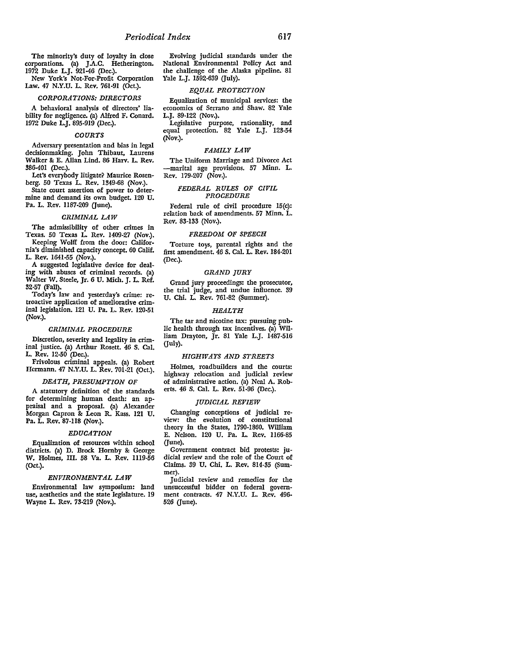The minority's duty of loyalty in close corporations. (a) J.A.C. Hetherington. 1972 Duke L.J. 921-46 (Dec.).

New York's Not-For-Profit Corporation Law. 47 N.Y.U. L. Rev. 761-91 (Oct.).

#### *CORPORATIONS: DIRECTORS*

A behavioral analysis of directors' liability for negligence. (a) Alfred F. Conard. 1972 Duke L.J. 895-919 (Dec.).

#### *COURTS*

Adversary presentation and bias in legal decisionmaking. John Thibaut, Laurens Walker 8: E. Allan Lind. 86 Harv. L. Rev. 386-401 (Dec.).

Let's everybody litigate? Maurice Rosenberg. 50 Texas L. Rev. 1349-68 (Nov.).

State court assertion of power to determine and demand its own budget. 120 U. Pa. L. Rev. 1187-209 (June).

# *CRIMINAL LAW*

The admissibility of other crimes in Texas. 50 Texas L. Rev. 1409-27 (Nov.).

Keeping Wolff from the door: California's diminished capacity concept. 60 Calif. L. Rev. 1641-55 (Nov.).

A suggested legislative device for dealing with abuses of criminal records. (a) Walter W. Steele, Jr. 6 U. Mich. J. L. Ref. 32-57 (Fall).

Today's law and yesterday's crime: retroactive application of ameliorative criminal legislation. 121 U. Pa. L. Rev. 120-51 (Nov.).

#### *CRIMINAL PROCEDURE*

Discretion, severity and legality in criminal justice. (a) Arthur Rosett. 46 S. Cal. L. Rev. 12-50 (Dec.).

Frivolous criminal appeals. (a) Robert Hermann. 47 N.Y.U. L. Rev. 701-21 (Oct.).

# *DEATH, PRESUMPTION OF*

A statutory definition of the standards for determining human death: an appraisal and a proposal. (a) Alexander Morgan Capron 8: Leon R. Kass. 121 U. Pa. L. Rev. 87-118 (Nov.).

#### *EDUCATION*

Equalization of resources within school districts. (a) D. Brock Hornby & George W. Holmes, III. 58 Va. L. Rev. 1119-56 (Oct.).

# *ENVIRONMENTAL LAW*

Environmental law symposium: land use, aesthetics and the state legislature. 19 Wayne L. Rev. 73-219 (Nov.).

Evolving judicial standards under the National Environmental Policy Act and the challenge of the Alaska pipeline. 81 Yale L.J. 1592-639 (July).

# *EQUAL PROTECTION*

Equalization of municipal services: the economics of Serrano and Shaw. 82 Yale L.J. 89-122 (Nov.).

Legislative purpose, rationality, and equal protection. 82 Yale L.J. 123-54 (Nov.).

# *FAMILY LAW*

The Uniform Marriage and Divorce Act -marital age provisions. 57 Minn. L. Rev. 179-207 (Nov.).

# *FEDERAL RULES OF CIVIL PROCEDURE*

Federal rule of civil procedure 15(c): relation back of amendments. 57 Minn. L. Rev. 83-133 (Nov.).

# *FREEDOM OF SPEECH*

Torture toys, parental rights and the first amendment. 46 S. Cal. L. Rev. 184-201 (Dec.).

#### *GRAND JURY*

Grand jury proceedings: the prosecutor, the trial judge, and undue influence. 39 U. Chi. L. Rev. 761-82 (Summer).

#### *HEALTH*

The tar and nicotine tax: pursuing public health through tax incentives. (a) William Drayton, Jr. 81 Yale L.J. 1487-516 (July).

#### *HIGHWAYS AND STREETS*

Holmes, roadbuilders and the courts: highway relocation and judicial review of administrative action. (a) Neal A. Roberts. 46 S. Cal. L. Rev. 51-96 (Dec.).

#### *JUDICIAL REVIEW*

Changing conceptions of judicial review: the evolution of constitutional theory in the States, 1790-1860. William E. Nelson. 120 U. Pa. L. Rev. 1166-85 (June).

Government contract bid protests: judicial review and the role of the Court of Claims. 39 U. Chi. L. Rev. 814-35 (Summer).

Judicial review and remedies for the unsuccessful bidder on federal government contracts. 47 N.Y.U. L. Rev. 496- 526 (June).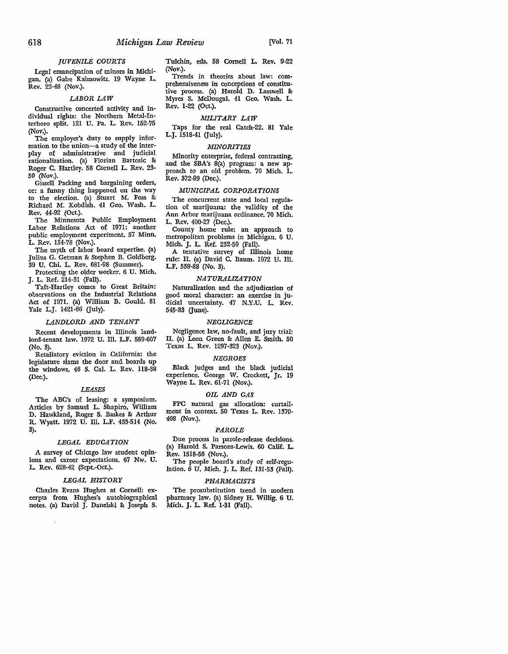# *JUVENILE COURTS*

Legal emancipation of minors in Michigan. (a) Gabe Kaimowitz. 19 Wayne **L.**  Rev. 23-48 (Nov.).

# *LABOR LAW*

Constructive concerted activity and in• dividual rights: the Northern Metal-Interboro split. 121 U. Pa. **L.** Rev. 152-75 (Nov.).

The employer's duty to supply information to the union-a study of the interplay of administrative and judicial rationalization. (a) Florian Bartosic 8: Roger **C.** Hartley. 58 Cornell L. Rev. 23· 50 (Nov.).

Gissell Packing and bargaining orders, or: a funny thing happened on the way to the election. (a) Stuart **M.** Foss & Richard **M.** Kobdish. 41 Geo. Wash. L. Rev. 44-92 (Oct.).

The Minnesota Public Employment Labor Relations Act of 1971: another public employment experiment. 57 Minn. L. Rev. 134-78 (Nov.).

The myth of labor board expertise. (a) Julius G. Getman & Stephen B. Goldberg. 39 U. Chi. L. Rev. 681-98 (Summer).

Protecting the older worker. 6 U. Mich. J. L. Ref. 214-31 (Fall).

Taft-Hartley comes to Great Britain: observations on the Industrial Relations Act of 1971. (a) William B. Gould. 81 Yale L.J. 1421-86 (July).

#### *LANDLORD AND TENANT*

Recent developments in Illinois landlord-tenant law. 1972 U. Ill. L.F. 589-607 (No. 3).

Retaliatory eviction in California: the legislature slams the door and boards up the windows. 46 S. Cal. L. Rev. 118-38 (Dec.).

#### *LEASES*

The ABC's of leasing: a symposium. Articles by Samuel L. Shapiro, William D. Hawkland, Roger S. Baskes & Arthur R. Wyatt. 1972 U. Ill. L.F. 433-514 (No. 3).

#### *LEGAL EDUCATION*

A survey of Chicago law student opinions and career expectations. 67 Nw. U. **L.** Rev. 628-42 (Sept.-Oct.).

# *LEGAL HISTORY*

Charles Evans Hughes at Cornell: ex• cerpts from Hughes's autobiographical notes. (a) David J. Danelski & Joseph S.

Tulchin, eds. 58 Cornell **L. Rev.** 9-22 (Nov.).

Trends in theories about law: comprehensiveness in conceptions of constitutive process. (a) Harold D. Lasswell 8: Myres S. McDougal. 41 Geo. Wash. **L.**  Rev. 1-22 (Oct.).

# *MILITARY LAW*

Taps for the real Catch-22. 81 Yale L.J. 1518-41 (July).

#### *MINORITIES*

Minority enterprise, federal contracting, and the SBA's S(a) program: a new approach to an old problem. 70 **Mich. L.**  Rev. 372-99 (Dec.).

# *MUNICIPAL CORPORATIONS*

The concurrent state and local regulation of marijuana: the validity of the Ann Arbor marijuana ordinance. 70 Mich. L. Rev. 400-27 (Dec.).

County home rule: an approach to metropolitan problems in Michigan. 6 U. Mich. J. L. Ref. 232-50 (Fall).

A tentative survey of Illinois home rule: II. (a) David C. Baum. 1972 U. Ill. L.F. 559-88 (No. 3).

# *NATURALIZATION*

Naturalization and the adjudication of good moral character: an exercise in judicial uncertainty. 47 N.Y.U. L. Rev. 545-83 (June).

#### *NEGLIGENCE*

Negligence law, no-fault, and jury trial: II. (a) Leon Green & Allen E. Smith. 50 Texas L. Rev. 1297-323 (Nov.).

#### *NEGROES*

Black judges and the black judicial experience. George W. Crockett, Jr. 19 Wayne L. Rev. 61-71 (Nov.).

#### *OIL AND GAS*

FPC natural gas allocation: curtailment in context. 50 Texas L. Rev. 1370- 408 (Nov.).

#### *PAROLE*

Due process in parole-release decisions. (a) Harold S. Parsons-Lewis. 60 Calif. L. Rev. 1518-56 (Nov.).

The people board's study of self-regulation. *6* U. Mich. J. L. Ref. 131-53 (Fall).

# *PHARMACISTS*

The prosubstitution trend in modern pharmacy Jaw. (a) Sidney H. Willig. 6 U. Mich. J. L. Ref. 1-31 (Fall).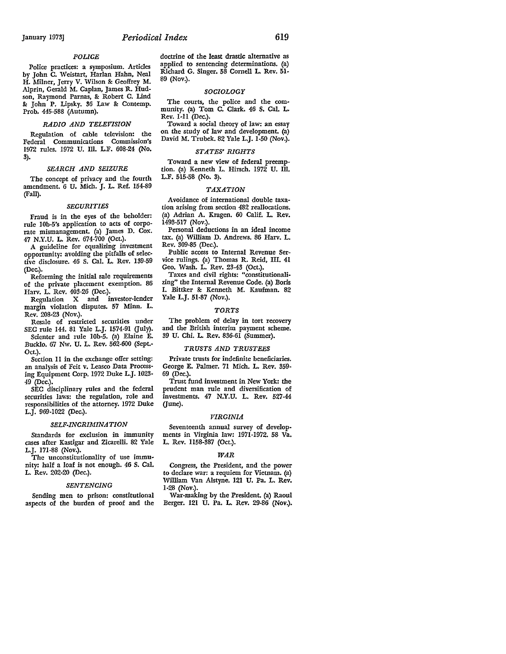#### *POUGE*

Police practices: a symposium. Articles by John C. Weistart, Harlan Hahn, Neal H. Milner, Jerry V. Wilson 8: Geoffrey M. Alprin, Gerald M. Caplan, James R. Hudson, Raymond Parnas, 8: Robert C. Lind 8: John P. Lipsky. 36 Law 8: Contemp. Prob. 445-588 (Autumn).

#### *RADIO AND TELEVISION*

Regulation of cable television: the Federal Communications Commission's 1972 rules. 1972 U. III. L.F. 608-24 (No. 3).

# *SEARCH AND SEIZURE*

The concept of privacy and the fourth amendment. 6 U. Mich. J. L. Ref. 154-89 (Fall).

#### *SECURITIES*

Fraud is in the eyes of the beholder: rule 10b-5's application to acts of corporate mismanagement. (a) James D. Cox. 47 N.Y.U. L. Rev. 674-700 (Oct.).

A guideline for equalizing investment opportunity: avoiding the pitfalls of selective disclosure. 46 S. Cal. **L.** Rev. 139-59 (Dec.).

Reforming the initial sale requirements of the private placement exemption. 86 Harv. **L.** Rev. 403-26 (Dec.).

Regulation X and investor-lender margin violation disputes. 57 Minn. **L.**  Rev. 208-23 (Nov.).

Resale of restricted securities under SEC rule 144. 81 Yale L.J. 1574-91 (July). Scienter and rule 10b-5. (a) Elaine E.

Bucklo. 67 Nw. U. L. Rev. 562-600 (Sept.- Oct.).

Section 11 in the exchange offer setting: an analysis of Feit v. Leasco Data Processing Equipment Corp. 1972 Duke L.J. 1023- 49 (Dec.).

SEC disciplinary rules and the federal securities laws: the regulation, role and responsibilities of the attorney. 1972 Duke L.J. 969-1022 (Dec.).

# *SELF-INCRIMINATION*

Standards for exclusion in immunity cases after Kastigar and Zicarelli. 82 Yale L.J. 171-88 (Nov.).

The unconstitutionality of use immunity: half a loaf is not enough. 46 S. Cal. L. Rev. 202-20 (Dec.).

#### *SENTENCING*

Sending men to prison: constitutional aspects of the burden of proof and the doctrine of the least drastic alternative as applied to sentencing determinations. (a) Richard G. Singer. 58 Cornell L. Rev. 51- 89 (Nov.).

# *SOCIOLOGY*

The courts, the police and the community. (a) Tom C. Clark. 46 S. Cal. L. Rev. 1-11 (Dec.).

Toward a social theory of law: an essay on the study of law and development. (a) David M. Trubek. 82 Yale L.J. 1-50 (Nov.).

#### *STATES' RIGHTS*

Toward a new view of federal preemption. (a) Kenneth L. Hirsch. 1972 U. Ill. L.F. 515-58 (No. 3).

# *TAXATION*

Avoidance of international double taxation arising from section 482 reallocations. (a) Adrian A. Kragen. 60 Calif. L. Rev. 1493-517 (Nov.).

Personal deductions in an ideal income tax. (a) William D. Andrews. 86 Harv. L. Rev. 309-85 (Dec.).

Public access to Internal Revenue Service rulings. (a) Thomas R. Reid, III. 41 Geo. Wash. L. Rev. 23-43 (Oct.).

Taxes and civil rights: "constitutionalizing" the Internal Revenue Code. (a) Boris I. Bittker 8: Kenneth **M.** Kaufman. 82 Yale L.J. 51-87 (Nov.).

#### *TORTS*

The problem of delay in tort recovery and the British interim payment scheme. 39 U. Chi. L. Rev. 836-61 (Summer).

#### *TRUSTS AND TRUSTEES*

Private trusts for indefinite beneficiaries. George E. Palmer. 71 Mich. L. Rev. 359- 69 (Dec.).

Trust fund investment in New York: the prudent man rule and diversification of investments. 47 N.Y.U. L. Rev. 527-44  $($  $|$ une $)$ .

# *VIRGINIA*

Seventeenth annual survey of developments in Virginia law: 1971-1972. 58 Va. L. Rev. 1158-387 (Oct.).

#### *WAR*

Congress, the President, and the power to declare war: a requiem for Vietnam. (a) William Van Alstyne. 121 U. Pa. L. Rev. 1-28 (Nov.).

War-making by the President. (a) Raoul Berger. 121 U. Pa. L. Rev. 29-86 (Nov.).